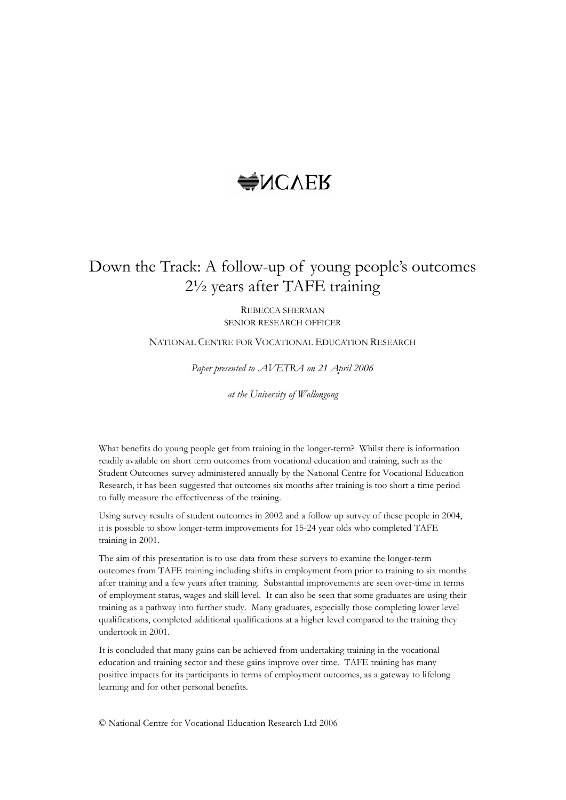# **WACVER**

# Down the Track: A follow-up of young people's outcomes 2½ years after TAFE training

REBECCA SHERMAN SENIOR RESEARCH OFFICER

NATIONAL CENTRE FOR VOCATIONAL EDUCATION RESEARCH

*Paper presented to .AVETRA on 21 April 2006*

*at the University of Wollongong*

What benefits do young people get from training in the longer-term? Whilst there is information readily available on short term outcomes from vocational education and training, such as the Student Outcomes survey administered annually by the National Centre for Vocational Education Research, it has been suggested that outcomes six months after training is too short a time period to fully measure the effectiveness of the training.

Using survey results of student outcomes in 2002 and a follow up survey of these people in 2004, it is possible to show longer-term improvements for 15-24 year olds who completed TAFE training in 2001. The aim of this presentation is to use data from these surveys to examine the longer-term

outcomes from TAFE training including shifts in employment from prior to training to six months after training and a few years after training. Substantial improvements are seen over-time in terms of employment status, wages and skill level. It can also be seen that some graduates are using their training as a pathway into further study. Many graduates, especially those completing lower level qualifications, completed additional qualifications at a higher level compared to the training they undertook in 2001.

It is concluded that many gains can be achieved from undertaking training in the vocational education and training sector and these gains improve over time. TAFE training has many positive impacts for its participants in terms of employment outcomes, as a gateway to lifelong learning and for other personal benefits.

© National Centre for Vocational Education Research Ltd 2006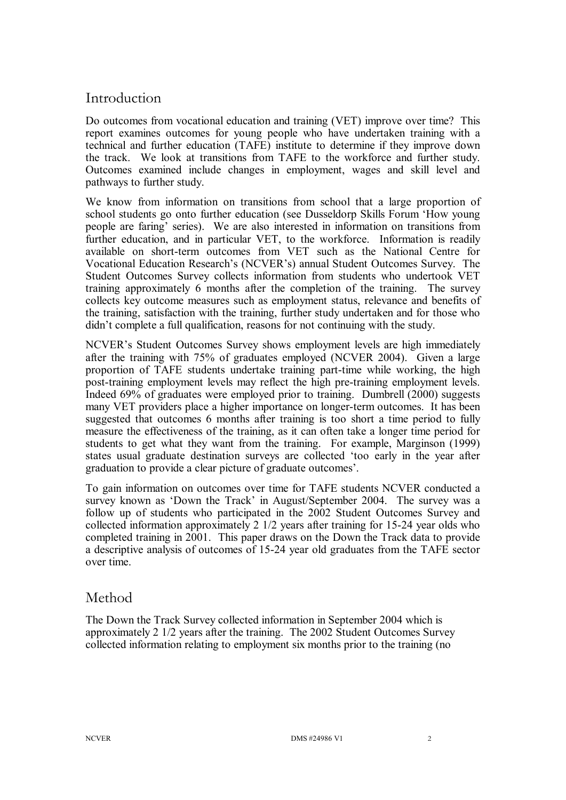# Introduction

Do outcomes from vocational education and training (VET) improve over time? This report examines outcomes for young people who have undertaken training with a technical and further education (TAFE) institute to determine if they improve down the track. We look at transitions from TAFE to the workforce and further study. Outcomes examined include changes in employment, wages and skill level and pathways to further study.

We know from information on transitions from school that a large proportion of school students go onto further education (see Dusseldorp Skills Forum 'How young people are faring' series). We are also interested in information on transitions from further education, and in particular VET, to the workforce. Information is readily available on short-term outcomes from VET such as the National Centre for Vocational Education Research's (NCVER's) annual Student Outcomes Survey. The Student Outcomes Survey collects information from students who undertook VET training approximately 6 months after the completion of the training. The survey collects key outcome measures such as employment status, relevance and benefits of the training, satisfaction with the training, further study undertaken and for those who didn't complete a full qualification, reasons for not continuing with the study.

NCVER's Student Outcomes Survey shows employment levels are high immediately after the training with 75% of graduates employed (NCVER 2004). Given a large proportion of TAFE students undertake training part-time while working, the high post-training employment levels may reflect the high pre-training employment levels. Indeed 69% of graduates were employed prior to training. Dumbrell (2000) suggests many VET providers place a higher importance on longer-term outcomes. It has been suggested that outcomes 6 months after training is too short a time period to fully measure the effectiveness of the training, as it can often take a longer time period for students to get what they want from the training. For example, Marginson (1999) states usual graduate destination surveys are collected 'too early in the year after graduation to provide a clear picture of graduate outcomes'.

To gain information on outcomes over time for TAFE students NCVER conducted a survey known as 'Down the Track' in August/September 2004. The survey was a follow up of students who participated in the 2002 Student Outcomes Survey and collected information approximately  $2 \frac{1}{2}$  years after training for 15-24 year olds who completed training in 2001. This paper draws on the Down the Track data to provide a descriptive analysis of outcomes of 1524 year old graduates from the TAFE sector over time.

## Method

The Down the Track Survey collected information in September 2004 which is approximately 2 1/2 years after the training. The 2002 Student Outcomes Survey collected information relating to employment six months prior to the training (no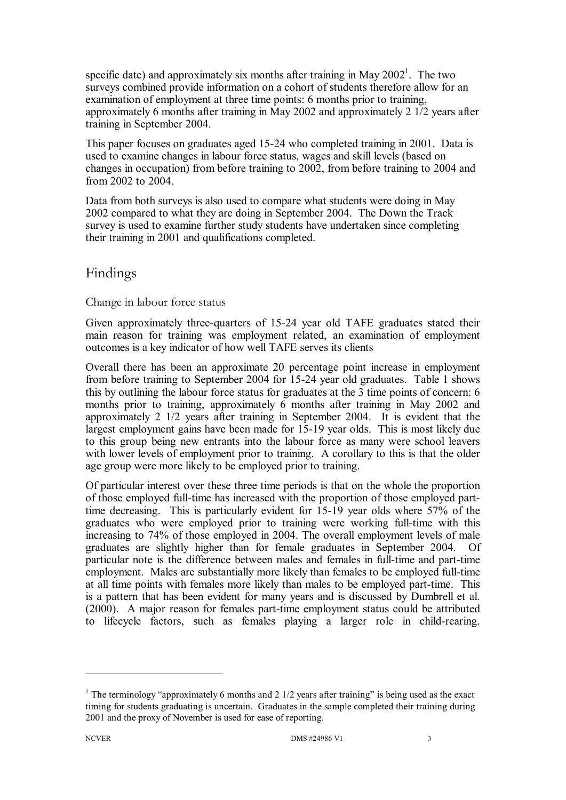specific date) and approximately six months after training in May  $2002<sup>1</sup>$ . The two surveys combined provide information on a cohort of students therefore allow for an examination of employment at three time points: 6 months prior to training, approximately 6 months after training in May 2002 and approximately 2 1/2 years after training in September 2004.

This paper focuses on graduates aged 1524 who completed training in 2001. Data is used to examine changes in labour force status, wages and skill levels (based on changes in occupation) from before training to 2002, from before training to 2004 and from 2002 to 2004.

Data from both surveys is also used to compare what students were doing in May 2002 compared to what they are doing in September 2004. The Down the Track survey is used to examine further study students have undertaken since completing their training in 2001 and qualifications completed.

## Findings

#### Change in labour force status

Given approximately three-quarters of 15-24 year old TAFE graduates stated their main reason for training was employment related, an examination of employment outcomes is a key indicator of how well TAFE serves its clients

Overall there has been an approximate 20 percentage point increase in employment from before training to September 2004 for 1524 year old graduates. Table 1 shows this by outlining the labour force status for graduates at the 3 time points of concern: 6 months prior to training, approximately 6 months after training in May 2002 and approximately 2 1/2 years after training in September 2004. It is evident that the largest employment gains have been made for 15-19 year olds. This is most likely due to this group being new entrants into the labour force as many were school leavers with lower levels of employment prior to training. A corollary to this is that the older age group were more likely to be employed prior to training.

Of particular interest over these three time periods is that on the whole the proportion of those employed full-time has increased with the proportion of those employed parttime decreasing. This is particularly evident for 15-19 year olds where 57% of the graduates who were employed prior to training were working full-time with this increasing to 74% of those employed in 2004. The overall employment levels of male graduates are slightly higher than for female graduates in September 2004. Of particular note is the difference between males and females in full-time and part-time employment. Males are substantially more likely than females to be employed full-time at all time points with females more likely than males to be employed part-time. This is a pattern that has been evident for many years and is discussed by Dumbrell et al.  $(2000)$ . A major reason for females part-time employment status could be attributed to lifecycle factors, such as females playing a larger role in child-rearing.

<sup>&</sup>lt;sup>1</sup> The terminology "approximately 6 months and 2  $1/2$  years after training" is being used as the exact timing for students graduating is uncertain. Graduates in the sample completed their training during 2001 and the proxy of November is used for ease of reporting.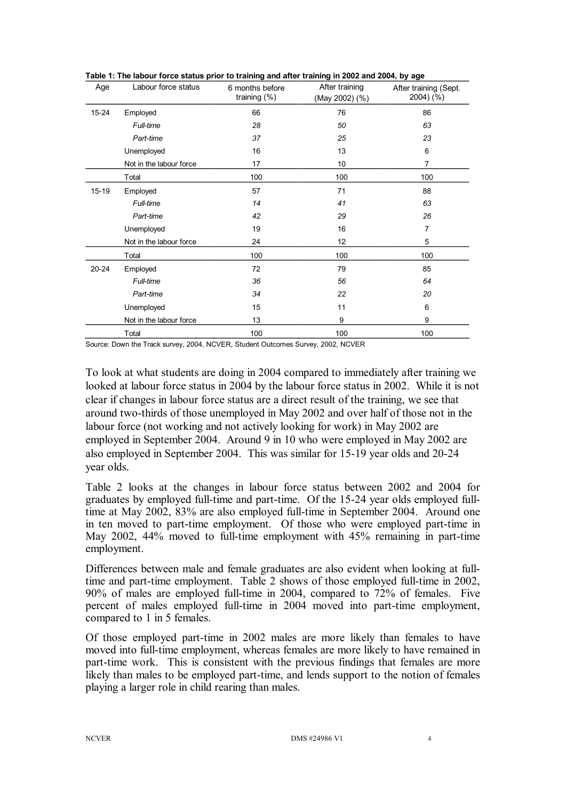| Age   | Labour force status     | 6 months before<br>training $(\%)$ | After training<br>(May 2002) (%) | After training (Sept.<br>2004) (%) |
|-------|-------------------------|------------------------------------|----------------------------------|------------------------------------|
| 15-24 | Employed                | 66                                 | 76                               | 86                                 |
|       | Full-time               | 28                                 | 50                               | 63                                 |
|       | Part-time               | 37                                 | 25                               | 23                                 |
|       | Unemployed              | 16                                 | 13                               | 6                                  |
|       | Not in the labour force | 17                                 | 10                               | 7                                  |
|       | Total                   | 100                                | 100                              | 100                                |
| 15-19 | Employed                | 57                                 | 71                               | 88                                 |
|       | Full-time               | 14                                 | 41                               | 63                                 |
|       | Part-time               | 42                                 | 29                               | 26                                 |
|       | Unemployed              | 19                                 | 16                               | 7                                  |
|       | Not in the labour force | 24                                 | 12                               | 5                                  |
|       | Total                   | 100                                | 100                              | 100                                |
| 20-24 | Employed                | 72                                 | 79                               | 85                                 |
|       | Full-time               | 36                                 | 56                               | 64                                 |
|       | Part-time               | 34                                 | 22                               | 20                                 |
|       | Unemployed              | 15                                 | 11                               | 6                                  |
|       | Not in the labour force | 13                                 | 9                                | 9                                  |
|       | Total                   | 100                                | 100                              | 100                                |

**Table 1: The labour force status prior to training and after training in 2002 and 2004, by age**

Source: Down the Track survey, 2004, NCVER, Student Outcomes Survey, 2002, NCVER

To look at what students are doing in 2004 compared to immediately after training we looked at labour force status in 2004 by the labour force status in 2002. While it is not clear if changes in labour force status are a direct result of the training, we see that around twothirds of those unemployed in May 2002 and over half of those not in the labour force (not working and not actively looking for work) in May 2002 are employed in September 2004. Around 9 in 10 who were employed in May 2002 are also employed in September 2004. This was similar for 15-19 year olds and 20-24 year olds.

Table 2 looks at the changes in labour force status between 2002 and 2004 for graduates by employed full-time and part-time. Of the 15-24 year olds employed fulltime at May 2002, 83% are also employed full-time in September 2004. Around one in ten moved to part-time employment. Of those who were employed part-time in May 2002,  $44\%$  moved to full-time employment with  $45\%$  remaining in part-time employment.

Differences between male and female graduates are also evident when looking at fulltime and part-time employment. Table 2 shows of those employed full-time in 2002, 90% of males are employed full-time in 2004, compared to 72% of females. Five percent of males employed full-time in 2004 moved into part-time employment, compared to 1 in 5 females.

Of those employed part-time in 2002 males are more likely than females to have moved into full-time employment, whereas females are more likely to have remained in part-time work. This is consistent with the previous findings that females are more likely than males to be employed part-time, and lends support to the notion of females playing a larger role in child rearing than males.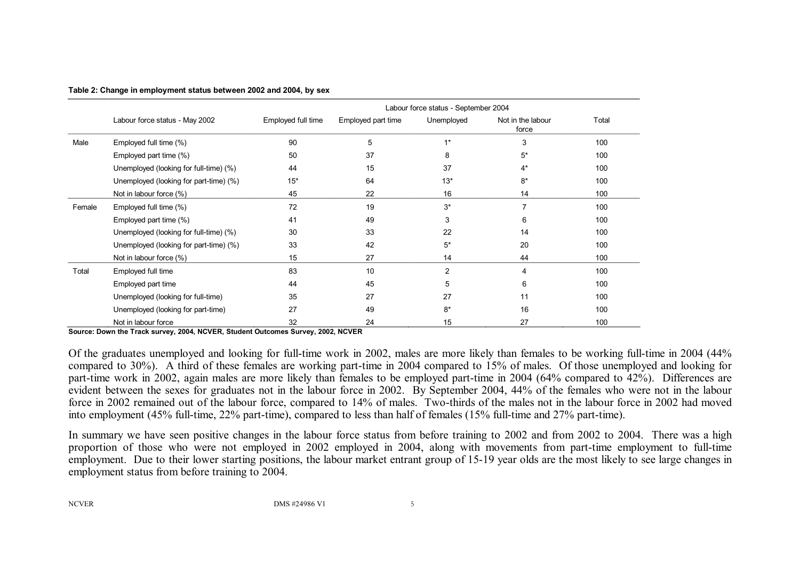|        |                                        | Labour force status - September 2004 |                    |                |                            |       |
|--------|----------------------------------------|--------------------------------------|--------------------|----------------|----------------------------|-------|
|        | Labour force status - May 2002         | Employed full time                   | Employed part time | Unemployed     | Not in the labour<br>force | Total |
| Male   | Employed full time (%)                 | 90                                   | 5                  | $1*$           | 3                          | 100   |
|        | Employed part time (%)                 | 50                                   | 37                 | 8              | $5^*$                      | 100   |
|        | Unemployed (looking for full-time) (%) | 44                                   | 15                 | 37             | $4^*$                      | 100   |
|        | Unemployed (looking for part-time) (%) | $15*$                                | 64                 | $13*$          | $8*$                       | 100   |
|        | Not in labour force (%)                | 45                                   | 22                 | 16             | 14                         | 100   |
| Female | Employed full time (%)                 | 72                                   | 19                 | $3^*$          |                            | 100   |
|        | Employed part time (%)                 | 41                                   | 49                 | 3              | 6                          | 100   |
|        | Unemployed (looking for full-time) (%) | 30                                   | 33                 | 22             | 14                         | 100   |
|        | Unemployed (looking for part-time) (%) | 33                                   | 42                 | $5^*$          | 20                         | 100   |
|        | Not in labour force (%)                | 15                                   | 27                 | 14             | 44                         | 100   |
| Total  | Employed full time                     | 83                                   | 10                 | $\overline{2}$ | 4                          | 100   |
|        | Employed part time                     | 44                                   | 45                 | 5              | 6                          | 100   |
|        | Unemployed (looking for full-time)     | 35                                   | 27                 | 27             | 11                         | 100   |
|        | Unemployed (looking for part-time)     | 27                                   | 49                 | $8*$           | 16                         | 100   |
|        | Not in labour force                    | 32                                   | 24                 | 15             | 27                         | 100   |

**Table 2: Change in employment status between 2002 and 2004, by sex**

**Source: Down the Track survey, 2004, NCVER, Student Outcomes Survey, 2002, NCVER**

Of the graduates unemployed and looking for full-time work in 2002, males are more likely than females to be working full-time in 2004 (44%) compared to 30%). A third of these females are working part-time in 2004 compared to 15% of males. Of those unemployed and looking for part-time work in 2002, again males are more likely than females to be employed part-time in 2004 (64% compared to 42%). Differences are evident between the sexes for graduates not in the labour force in 2002. By September 2004, 44% of the females who were not in the labour force in 2002 remained out of the labour force, compared to 14% of males. Two-thirds of the males not in the labour force in 2002 had moved into employment (45% full-time,  $22\%$  part-time), compared to less than half of females (15% full-time and 27% part-time).

In summary we have seen positive changes in the labour force status from before training to 2002 and from 2002 to 2004. There was a high proportion of those who were not employed in 2002 employed in 2004, along with movements from part-time employment to full-time employment. Due to their lower starting positions, the labour market entrant group of 15-19 year olds are the most likely to see large changes in employment status from before training to 2004.

NCVER DMS #24986 V1 5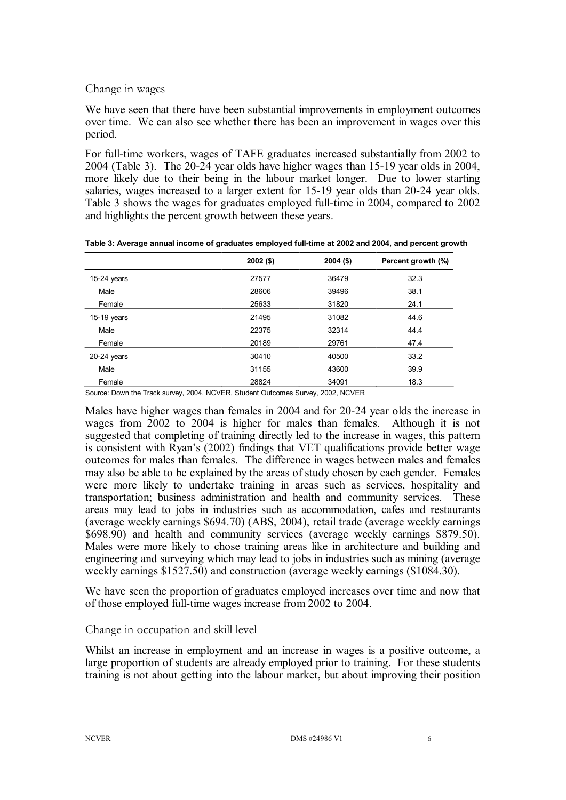#### Change in wages

We have seen that there have been substantial improvements in employment outcomes over time. We can also see whether there has been an improvement in wages over this period.

For full-time workers, wages of TAFE graduates increased substantially from 2002 to  $2004$  (Table 3). The  $20-24$  year olds have higher wages than  $15-19$  year olds in  $2004$ , more likely due to their being in the labour market longer. Due to lower starting salaries, wages increased to a larger extent for 15-19 year olds than 20-24 year olds. Table 3 shows the wages for graduates employed full-time in 2004, compared to 2002 and highlights the percent growth between these years.

|               | $2002($ \$) | $2004($ \$) | Percent growth (%) |
|---------------|-------------|-------------|--------------------|
| $15-24$ years | 27577       | 36479       | 32.3               |
| Male          | 28606       | 39496       | 38.1               |
| Female        | 25633       | 31820       | 24.1               |
| $15-19$ years | 21495       | 31082       | 44.6               |
| Male          | 22375       | 32314       | 44.4               |
| Female        | 20189       | 29761       | 47.4               |
| $20-24$ years | 30410       | 40500       | 33.2               |
| Male          | 31155       | 43600       | 39.9               |
| Female        | 28824       | 34091       | 18.3               |

| Table 3: Average annual income of graduates employed full-time at 2002 and 2004, and percent growth |  |
|-----------------------------------------------------------------------------------------------------|--|
|-----------------------------------------------------------------------------------------------------|--|

Source: Down the Track survey, 2004, NCVER, Student Outcomes Survey, 2002, NCVER

Males have higher wages than females in 2004 and for 20-24 year olds the increase in wages from 2002 to 2004 is higher for males than females. Although it is not suggested that completing of training directly led to the increase in wages, this pattern is consistent with Ryan's (2002) findings that VET qualifications provide better wage outcomes for males than females. The difference in wages between males and females may also be able to be explained by the areas of study chosen by each gender. Females were more likely to undertake training in areas such as services, hospitality and transportation; business administration and health and community services. These areas may lead to jobs in industries such as accommodation, cafes and restaurants (average weekly earnings \$694.70) (ABS, 2004), retail trade (average weekly earnings \$698.90) and health and community services (average weekly earnings \$879.50). Males were more likely to chose training areas like in architecture and building and engineering and surveying which may lead to jobs in industries such as mining (average weekly earnings \$1527.50) and construction (average weekly earnings (\$1084.30).

We have seen the proportion of graduates employed increases over time and now that of those employed full-time wages increase from 2002 to 2004.

#### Change in occupation and skill level

Whilst an increase in employment and an increase in wages is a positive outcome, a large proportion of students are already employed prior to training. For these students training is not about getting into the labour market, but about improving their position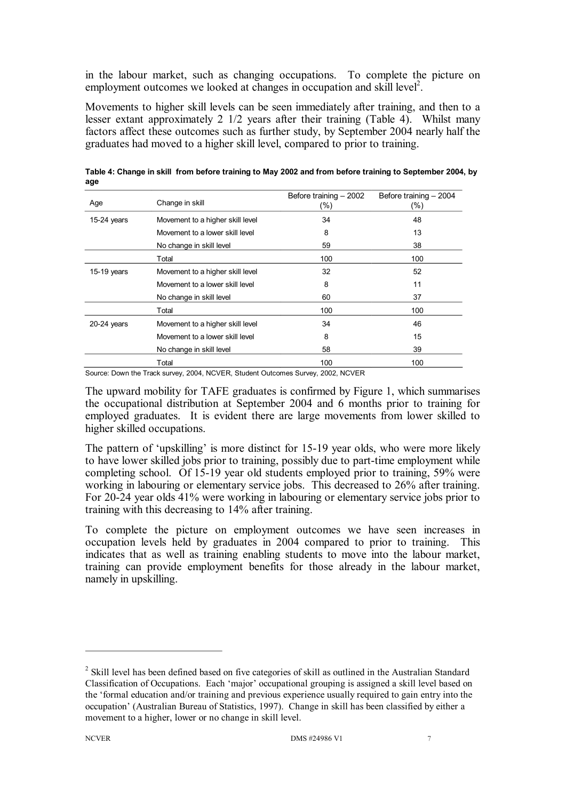in the labour market, such as changing occupations. To complete the picture on employment outcomes we looked at changes in occupation and skill level<sup>2</sup>.

Movements to higher skill levels can be seen immediately after training, and then to a lesser extant approximately 2 1/2 years after their training (Table 4). Whilst many factors affect these outcomes such as further study, by September 2004 nearly half the graduates had moved to a higher skill level, compared to prior to training.

| Age           | Change in skill                  | Before training - 2002<br>$(\% )$ | Before training - 2004<br>$(\% )$ |
|---------------|----------------------------------|-----------------------------------|-----------------------------------|
| 15-24 years   | Movement to a higher skill level | 34                                | 48                                |
|               | Movement to a lower skill level  | 8                                 | 13                                |
|               | No change in skill level         | 59                                | 38                                |
|               | Total                            | 100                               | 100                               |
| 15-19 years   | Movement to a higher skill level | 32                                | 52                                |
|               | Movement to a lower skill level  | 8                                 | 11                                |
|               | No change in skill level         | 60                                | 37                                |
|               | Total                            | 100                               | 100                               |
| $20-24$ years | Movement to a higher skill level | 34                                | 46                                |
|               | Movement to a lower skill level  | 8                                 | 15                                |
|               | No change in skill level         | 58                                | 39                                |
|               | Total                            | 100                               | 100                               |

**Table 4: Change in skill from before training to May 2002 and from before training to September 2004, by age**

Source: Down the Track survey, 2004, NCVER, Student Outcomes Survey, 2002, NCVER

The upward mobility for TAFE graduates is confirmed by Figure 1, which summarises the occupational distribution at September 2004 and 6 months prior to training for employed graduates. It is evident there are large movements from lower skilled to higher skilled occupations.

The pattern of 'upskilling' is more distinct for 15-19 year olds, who were more likely to have lower skilled jobs prior to training, possibly due to part-time employment while completing school. Of 15-19 year old students employed prior to training, 59% were working in labouring or elementary service jobs. This decreased to 26% after training. For 2024 year olds 41% were working in labouring or elementary service jobs prior to training with this decreasing to 14% after training.

To complete the picture on employment outcomes we have seen increases in occupation levels held by graduates in 2004 compared to prior to training. This indicates that as well as training enabling students to move into the labour market, training can provide employment benefits for those already in the labour market, namely in upskilling.

<sup>&</sup>lt;sup>2</sup> Skill level has been defined based on five categories of skill as outlined in the Australian Standard Classification of Occupations. Each 'major' occupational grouping is assigned a skill level based on the 'formal education and/or training and previous experience usually required to gain entry into the occupation' (Australian Bureau of Statistics, 1997). Change in skill has been classified by either a movement to a higher, lower or no change in skill level.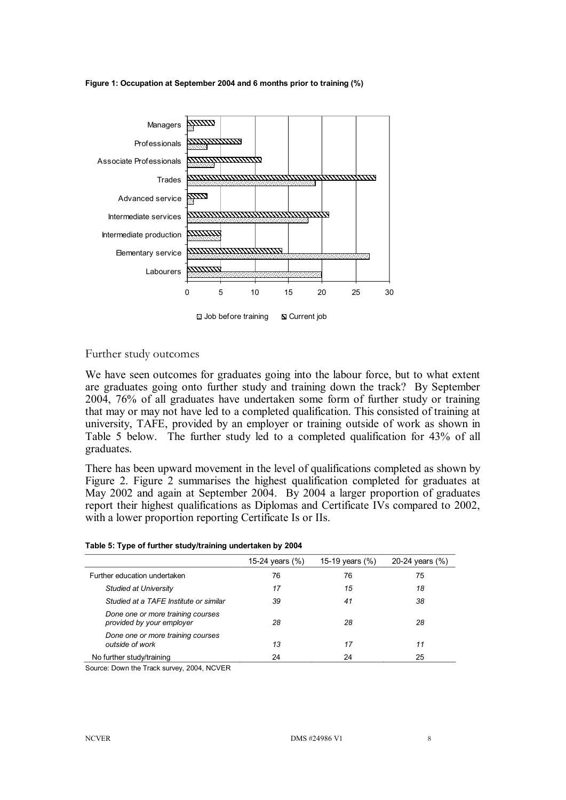**Figure 1: Occupation at September 2004 and 6 months prior to training (%)**



#### Further study outcomes

We have seen outcomes for graduates going into the labour force, but to what extent are graduates going onto further study and training down the track? By September 2004, 76% of all graduates have undertaken some form of further study or training that may or may not have led to a completed qualification. This consisted of training at university, TAFE, provided by an employer or training outside of work as shown in Table 5 below. The further study led to a completed qualification for 43% of all graduates.

There has been upward movement in the level of qualifications completed as shown by Figure 2. Figure 2 summarises the highest qualification completed for graduates at May 2002 and again at September 2004. By 2004 a larger proportion of graduates report their highest qualifications as Diplomas and Certificate IVs compared to 2002, with a lower proportion reporting Certificate Is or IIs.

| Table 5: Type of further study/training undertaken by 2004 |  |  |
|------------------------------------------------------------|--|--|
|                                                            |  |  |

|                                                                | 15-24 years $(\% )$ | 15-19 years (%) | 20-24 years (%) |
|----------------------------------------------------------------|---------------------|-----------------|-----------------|
| Further education undertaken                                   | 76                  | 76              | 75              |
| Studied at University                                          | 17                  | 15              | 18              |
| Studied at a TAFE Institute or similar                         | 39                  | 41              | 38              |
| Done one or more training courses<br>provided by your employer | 28                  | 28              | 28              |
| Done one or more training courses<br>outside of work           | 13                  | 17              | 11              |
| No further study/training                                      | 24                  | 24              | 25              |

Source: Down the Track survey, 2004, NCVER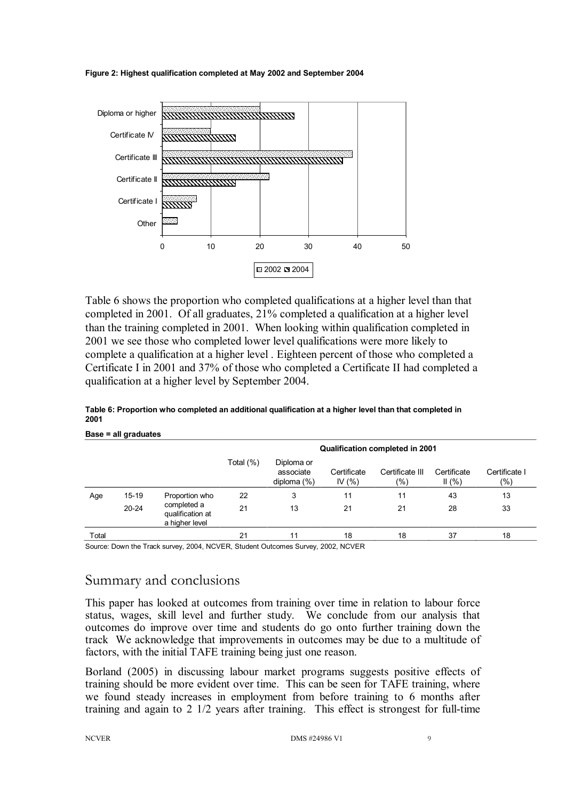



Table 6 shows the proportion who completed qualifications at a higher level than that completed in 2001. Of all graduates, 21% completed a qualification at a higher level than the training completed in 2001. When looking within qualification completed in 2001 we see those who completed lower level qualifications were more likely to complete a qualification at a higher level . Eighteen percent of those who completed a Certificate I in 2001 and 37% of those who completed a Certificate II had completed a qualification at a higher level by September 2004.

| Base = all graduates |           |                                                   |                                        |                                           |                          |                        |                      |                         |  |
|----------------------|-----------|---------------------------------------------------|----------------------------------------|-------------------------------------------|--------------------------|------------------------|----------------------|-------------------------|--|
|                      |           |                                                   | <b>Qualification completed in 2001</b> |                                           |                          |                        |                      |                         |  |
|                      |           |                                                   | Total (%)                              | Diploma or<br>associate<br>diploma $(\%)$ | Certificate<br>IV $(% )$ | Certificate III<br>(%) | Certificate<br>II(%) | Certificate I<br>$(\%)$ |  |
| Age                  | $15 - 19$ | Proportion who                                    | 22                                     | 3                                         | 11                       | 11                     | 43                   | 13                      |  |
|                      | $20 - 24$ | completed a<br>qualification at<br>a higher level | 21                                     | 13                                        | 21                       | 21                     | 28                   | 33                      |  |
| Total                |           |                                                   | 21                                     | 11                                        | 18                       | 18                     | 37                   | 18                      |  |

**Table 6: Proportion who completed an additional qualification at a higher level than that completed in 2001**

Source: Down the Track survey, 2004, NCVER, Student Outcomes Survey, 2002, NCVER

# Summary and conclusions

This paper has looked at outcomes from training over time in relation to labour force status, wages, skill level and further study. We conclude from our analysis that outcomes do improve over time and students do go onto further training down the track We acknowledge that improvements in outcomes may be due to a multitude of factors, with the initial TAFE training being just one reason.

Borland (2005) in discussing labour market programs suggests positive effects of training should be more evident over time. This can be seen for TAFE training, where we found steady increases in employment from before training to 6 months after training and again to  $2 \frac{1}{2}$  years after training. This effect is strongest for full-time